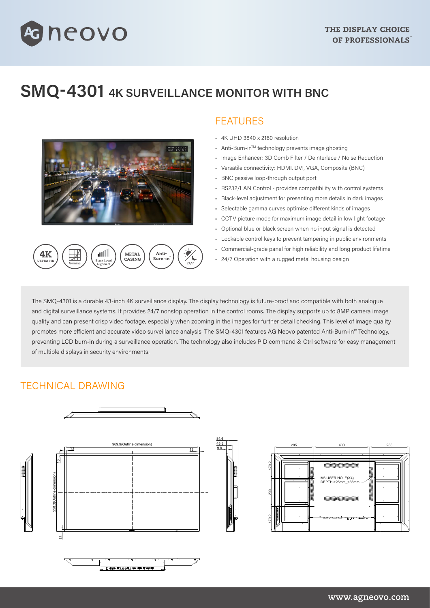# **SMQ-4301 4K SURVEILLANCE MONITOR WITH BNC**



**METAL** 

CASING

Anti-

Burn-in

الان

.<br>Black Levr

**aneovo** 

### FEATURES

- 4K UHD 3840 x 2160 resolution
- Anti-Burn-inTM technology prevents image ghosting
- Image Enhancer: 3D Comb Filter / Deinterlace / Noise Reduction
- Versatile connectivity: HDMI, DVI, VGA, Composite (BNC)
- BNC passive loop-through output port
- RS232/LAN Control provides compatibility with control systems
- Black-level adjustment for presenting more details in dark images
- Selectable gamma curves optimise different kinds of images
- CCTV picture mode for maximum image detail in low light footage
- Optional blue or black screen when no input signal is detected
- Lockable control keys to prevent tampering in public environments
- Commercial-grade panel for high reliability and long product lifetime
- 24/7 Operation with a rugged metal housing design

The SMQ-4301 is a durable 43-inch 4K surveillance display. The display technology is future-proof and compatible with both analogue and digital surveillance systems. It provides 24/7 nonstop operation in the control rooms. The display supports up to 8MP camera image quality and can present crisp video footage, especially when zooming in the images for further detail checking. This level of image quality promotes more efficient and accurate video surveillance analysis. The SMQ-4301 features AG Neovo patented Anti-Burn-in™ Technology, preventing LCD burn-in during a surveillance operation. The technology also includes PID command & Ctrl software for easy management of multiple displays in security environments.

### TECHNICAL DRAWING

4K

II TRA HI